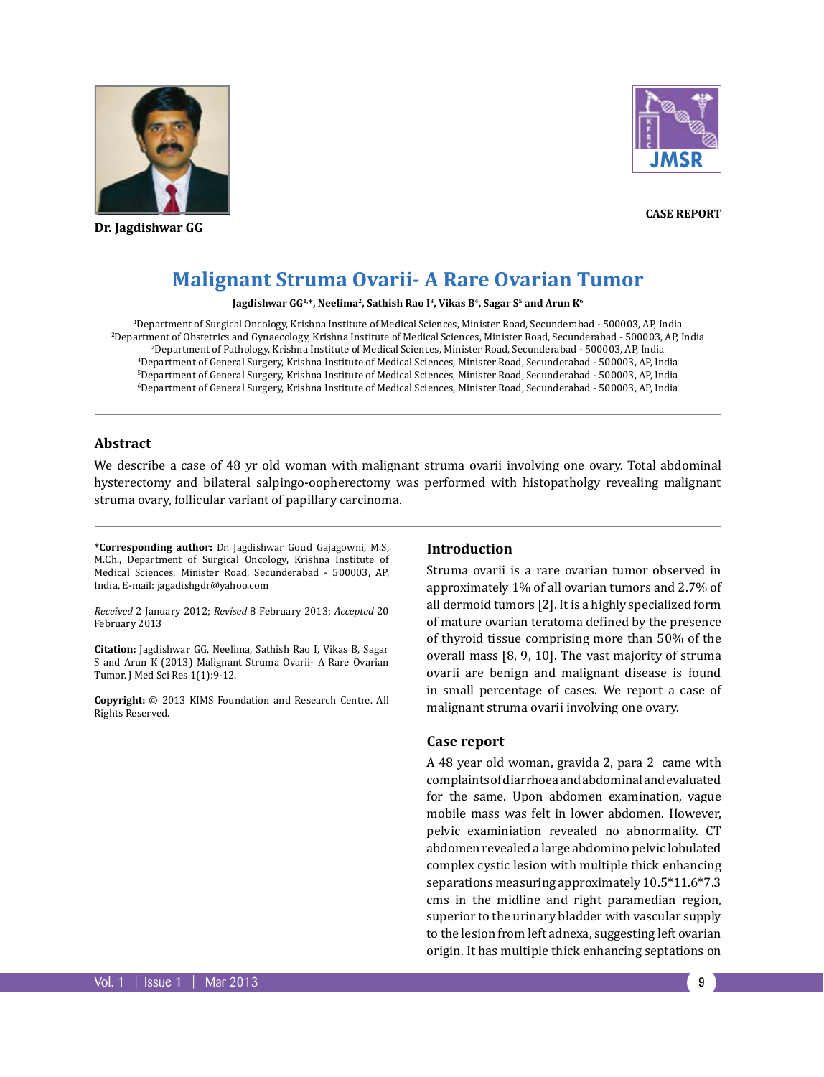

**Dr. Jagdishwar GG** 



**Case Report**

# **Malignant Struma Ovarii- A Rare Ovarian Tumor**

Jagdishwar GG<sup>1,\*</sup>, Neelima<sup>2</sup>, Sathish Rao I<sup>3</sup>, Vikas B<sup>4</sup>, Sagar S<sup>5</sup> and Arun K<sup>6</sup>

 Department of Surgical Oncology, Krishna Institute of Medical Sciences, Minister Road, Secunderabad - 500003, AP, India Department of Obstetrics and Gynaecology, Krishna Institute of Medical Sciences, Minister Road, Secunderabad - 500003, AP, India Department of Pathology, Krishna Institute of Medical Sciences, Minister Road, Secunderabad - 500003, AP, India Department of General Surgery, Krishna Institute of Medical Sciences, Minister Road, Secunderabad - 500003, AP, India Department of General Surgery, Krishna Institute of Medical Sciences, Minister Road, Secunderabad - 500003, AP, India Department of General Surgery, Krishna Institute of Medical Sciences, Minister Road, Secunderabad - 500003, AP, India

## **Abstract**

We describe a case of 48 yr old woman with malignant struma ovarii involving one ovary. Total abdominal hysterectomy and bilateral salpingo-oopherectomy was performed with histopatholgy revealing malignant struma ovary, follicular variant of papillary carcinoma.

**\*Corresponding author:** Dr. Jagdishwar Goud Gajagowni, M.S, M.Ch., Department of Surgical Oncology, Krishna Institute of Medical Sciences, Minister Road, Secunderabad - 500003, AP, India, E-mail: jagadishgdr@yahoo.com

*Received* 2 January 2012; *Revised* 8 February 2013; *Accepted* 20 February 2013

**Citation:** Jagdishwar GG, Neelima, Sathish Rao I, Vikas B, Sagar S and Arun K (2013) Malignant Struma Ovarii- A Rare Ovarian Tumor. J Med Sci Res 1(1):9-12.

**Copyright:** © 2013 KIMS Foundation and Research Centre. All Rights Reserved.

#### **Introduction**

Struma ovarii is a rare ovarian tumor observed in approximately 1% of all ovarian tumors and 2.7% of all dermoid tumors [2]. It is a highly specialized form of mature ovarian teratoma defined by the presence of thyroid tissue comprising more than 50% of the overall mass [8, 9, 10]. The vast majority of struma ovarii are benign and malignant disease is found in small percentage of cases. We report a case of malignant struma ovarii involving one ovary.

#### **Case report**

A 48 year old woman, gravida 2, para 2 came with complaints of diarrhoea and abdominal and evaluated for the same. Upon abdomen examination, vague mobile mass was felt in lower abdomen. However, pelvic examiniation revealed no abnormality. CT abdomen revealed a large abdomino pelvic lobulated complex cystic lesion with multiple thick enhancing separations measuring approximately 10.5\*11.6\*7.3 cms in the midline and right paramedian region, superior to the urinary bladder with vascular supply to the lesion from left adnexa, suggesting left ovarian origin. It has multiple thick enhancing septations on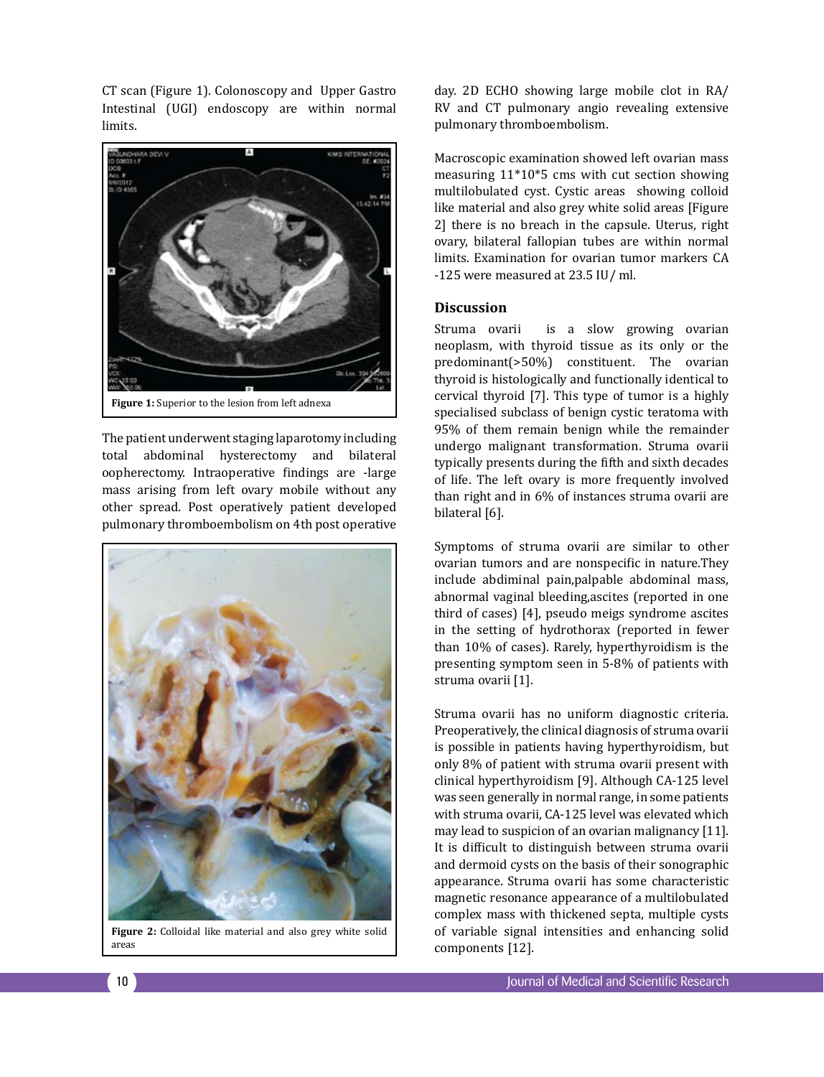CT scan (Figure 1). Colonoscopy and Upper Gastro Intestinal (UGI) endoscopy are within normal limits.



The patient underwent staging laparotomy including total abdominal hysterectomy and bilateral oopherectomy. Intraoperative findings are -large mass arising from left ovary mobile without any other spread. Post operatively patient developed pulmonary thromboembolism on 4th post operative



Figure 2: Colloidal like material and also grey white solid areas

day. 2D ECHO showing large mobile clot in RA/ RV and CT pulmonary angio revealing extensive pulmonary thromboembolism.

Macroscopic examination showed left ovarian mass measuring 11\*10\*5 cms with cut section showing multilobulated cyst. Cystic areas showing colloid like material and also grey white solid areas [Figure 2] there is no breach in the capsule. Uterus, right ovary, bilateral fallopian tubes are within normal limits. Examination for ovarian tumor markers CA -125 were measured at 23.5 IU/ ml.

### **Discussion**

Struma ovarii is a slow growing ovarian neoplasm, with thyroid tissue as its only or the predominant(>50%) constituent. The ovarian thyroid is histologically and functionally identical to cervical thyroid [7]. This type of tumor is a highly specialised subclass of benign cystic teratoma with 95% of them remain benign while the remainder undergo malignant transformation. Struma ovarii typically presents during the fifth and sixth decades of life. The left ovary is more frequently involved than right and in 6% of instances struma ovarii are bilateral [6].

Symptoms of struma ovarii are similar to other ovarian tumors and are nonspecific in nature.They include abdiminal pain,palpable abdominal mass, abnormal vaginal bleeding,ascites (reported in one third of cases) [4], pseudo meigs syndrome ascites in the setting of hydrothorax (reported in fewer than 10% of cases). Rarely, hyperthyroidism is the presenting symptom seen in 5-8% of patients with struma ovarii [1].

Struma ovarii has no uniform diagnostic criteria. Preoperatively, the clinical diagnosis of struma ovarii is possible in patients having hyperthyroidism, but only 8% of patient with struma ovarii present with clinical hyperthyroidism [9]. Although CA-125 level was seen generally in normal range, in some patients with struma ovarii, CA-125 level was elevated which may lead to suspicion of an ovarian malignancy [11]. It is difficult to distinguish between struma ovarii and dermoid cysts on the basis of their sonographic appearance. Struma ovarii has some characteristic magnetic resonance appearance of a multilobulated complex mass with thickened septa, multiple cysts of variable signal intensities and enhancing solid components [12].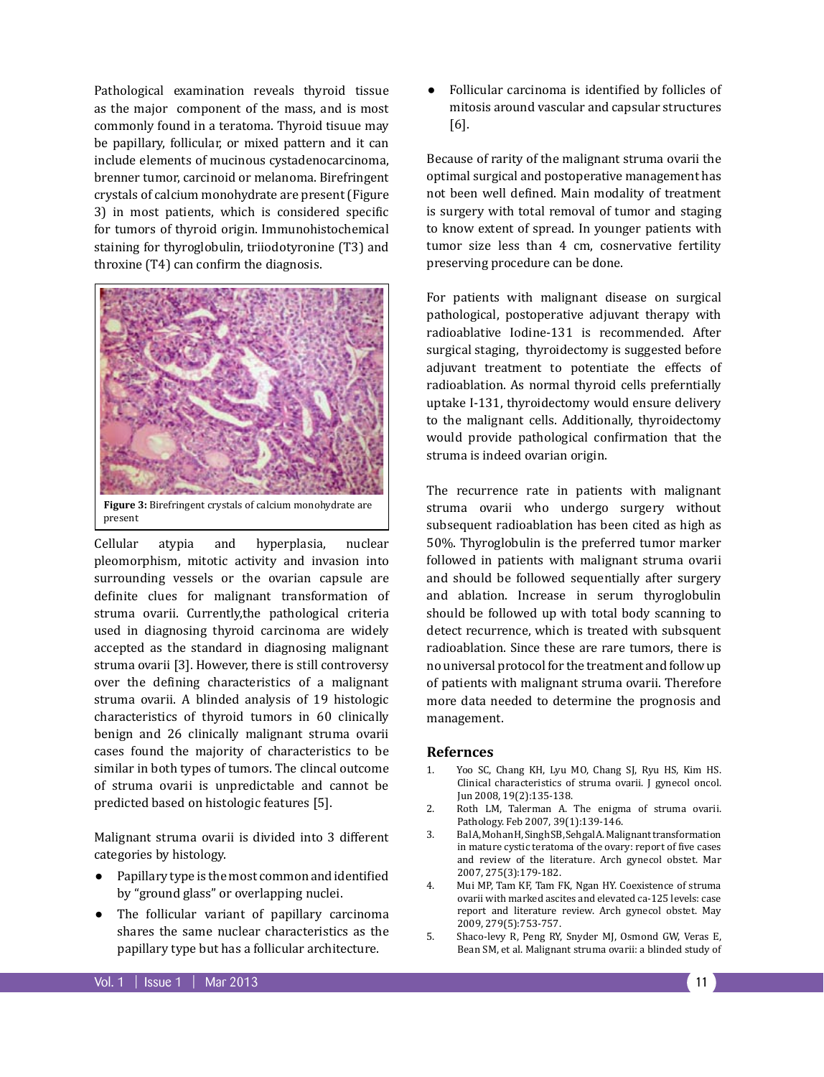Pathological examination reveals thyroid tissue as the major component of the mass, and is most commonly found in a teratoma. Thyroid tisuue may be papillary, follicular, or mixed pattern and it can include elements of mucinous cystadenocarcinoma, brenner tumor, carcinoid or melanoma. Birefringent crystals of calcium monohydrate are present (Figure 3) in most patients, which is considered specific for tumors of thyroid origin. Immunohistochemical staining for thyroglobulin, triiodotyronine (T3) and throxine (T4) can confirm the diagnosis.



Cellular atypia and hyperplasia, nuclear pleomorphism, mitotic activity and invasion into surrounding vessels or the ovarian capsule are definite clues for malignant transformation of struma ovarii. Currently,the pathological criteria used in diagnosing thyroid carcinoma are widely accepted as the standard in diagnosing malignant struma ovarii [3]. However, there is still controversy over the defining characteristics of a malignant struma ovarii. A blinded analysis of 19 histologic characteristics of thyroid tumors in 60 clinically benign and 26 clinically malignant struma ovarii cases found the majority of characteristics to be similar in both types of tumors. The clincal outcome of struma ovarii is unpredictable and cannot be predicted based on histologic features [5].

Malignant struma ovarii is divided into 3 different categories by histology.

- Papillary type is the most common and identified by "ground glass" or overlapping nuclei.
- The follicular variant of papillary carcinoma shares the same nuclear characteristics as the papillary type but has a follicular architecture.

Follicular carcinoma is identified by follicles of mitosis around vascular and capsular structures [6].

Because of rarity of the malignant struma ovarii the optimal surgical and postoperative management has not been well defined. Main modality of treatment is surgery with total removal of tumor and staging to know extent of spread. In younger patients with tumor size less than 4 cm, cosnervative fertility preserving procedure can be done.

For patients with malignant disease on surgical pathological, postoperative adjuvant therapy with radioablative Iodine-131 is recommended. After surgical staging, thyroidectomy is suggested before adjuvant treatment to potentiate the effects of radioablation. As normal thyroid cells preferntially uptake I-131, thyroidectomy would ensure delivery to the malignant cells. Additionally, thyroidectomy would provide pathological confirmation that the struma is indeed ovarian origin.

The recurrence rate in patients with malignant struma ovarii who undergo surgery without subsequent radioablation has been cited as high as 50%. Thyroglobulin is the preferred tumor marker followed in patients with malignant struma ovarii and should be followed sequentially after surgery and ablation. Increase in serum thyroglobulin should be followed up with total body scanning to detect recurrence, which is treated with subsquent radioablation. Since these are rare tumors, there is no universal protocol for the treatment and follow up of patients with malignant struma ovarii. Therefore more data needed to determine the prognosis and management.

## **Refernces**

- 1. Yoo SC, Chang KH, Lyu MO, Chang SJ, Ryu HS, Kim HS. Clinical characteristics of struma ovarii. J gynecol oncol. Jun 2008, 19(2):135-138.
- 2. Roth LM, Talerman A. The enigma of struma ovarii. Pathology. Feb 2007, 39(1):139-146.
- 3. Bal A, Mohan H, Singh SB, Sehgal A. Malignant transformation in mature cystic teratoma of the ovary: report of five cases and review of the literature. Arch gynecol obstet. Mar 2007, 275(3):179-182.
- 4. Mui MP, Tam KF, Tam FK, Ngan HY. Coexistence of struma ovarii with marked ascites and elevated ca-125 levels: case report and literature review. Arch gynecol obstet. May 2009, 279(5):753-757.
- 5. Shaco-levy R, Peng RY, Snyder MJ, Osmond GW, Veras E, Bean SM, et al. Malignant struma ovarii: a blinded study of